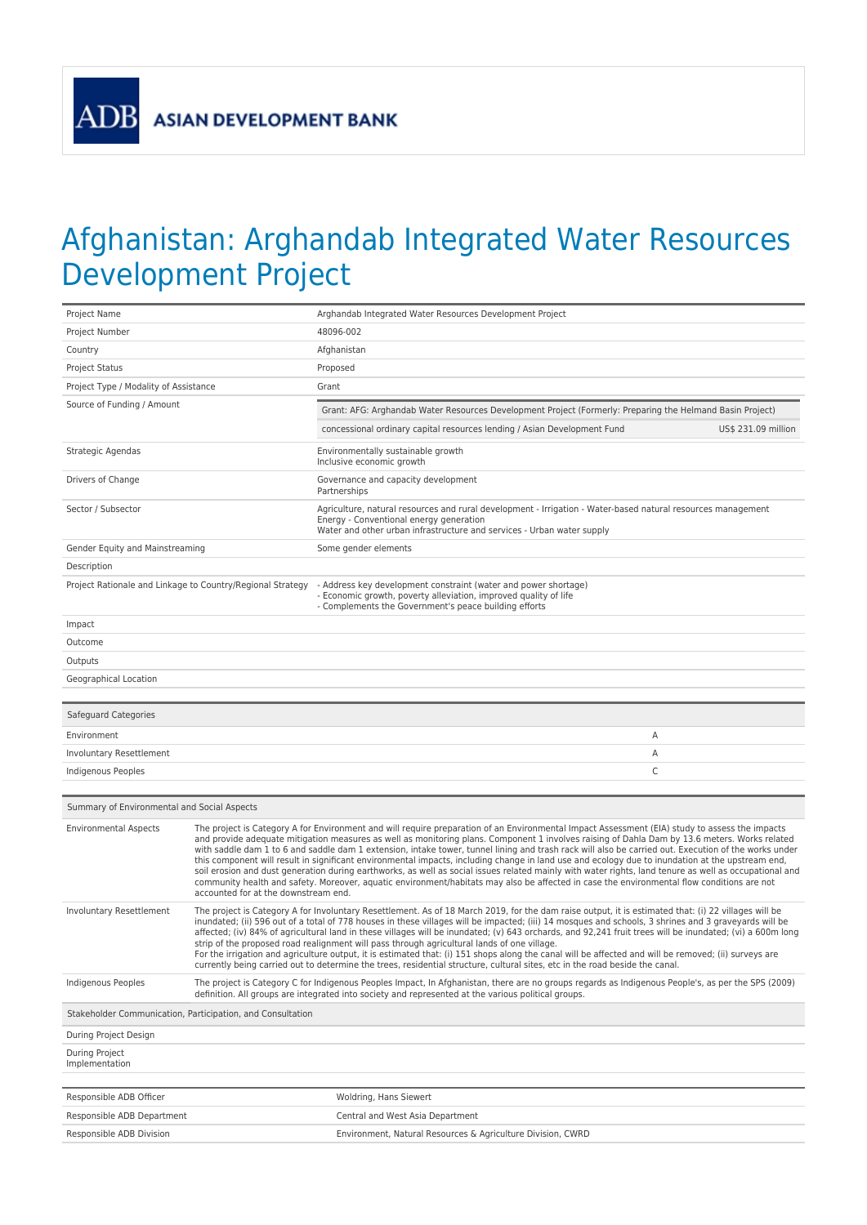**ADB** 

## Afghanistan: Arghandab Integrated Water Resources Development Project

| Project Name                                               |                                                                                                                                                                                                                                                                                                                                                                                                                                                                                                                                                                                                                                                                                                                                                                                                                                                                                                                                                             | Arghandab Integrated Water Resources Development Project                                                                                                                                                                          |                     |  |
|------------------------------------------------------------|-------------------------------------------------------------------------------------------------------------------------------------------------------------------------------------------------------------------------------------------------------------------------------------------------------------------------------------------------------------------------------------------------------------------------------------------------------------------------------------------------------------------------------------------------------------------------------------------------------------------------------------------------------------------------------------------------------------------------------------------------------------------------------------------------------------------------------------------------------------------------------------------------------------------------------------------------------------|-----------------------------------------------------------------------------------------------------------------------------------------------------------------------------------------------------------------------------------|---------------------|--|
| Project Number                                             |                                                                                                                                                                                                                                                                                                                                                                                                                                                                                                                                                                                                                                                                                                                                                                                                                                                                                                                                                             | 48096-002                                                                                                                                                                                                                         |                     |  |
| Country                                                    |                                                                                                                                                                                                                                                                                                                                                                                                                                                                                                                                                                                                                                                                                                                                                                                                                                                                                                                                                             | Afghanistan                                                                                                                                                                                                                       |                     |  |
| <b>Project Status</b>                                      |                                                                                                                                                                                                                                                                                                                                                                                                                                                                                                                                                                                                                                                                                                                                                                                                                                                                                                                                                             | Proposed                                                                                                                                                                                                                          |                     |  |
| Project Type / Modality of Assistance                      |                                                                                                                                                                                                                                                                                                                                                                                                                                                                                                                                                                                                                                                                                                                                                                                                                                                                                                                                                             | Grant                                                                                                                                                                                                                             |                     |  |
| Source of Funding / Amount                                 |                                                                                                                                                                                                                                                                                                                                                                                                                                                                                                                                                                                                                                                                                                                                                                                                                                                                                                                                                             | Grant: AFG: Arghandab Water Resources Development Project (Formerly: Preparing the Helmand Basin Project)                                                                                                                         |                     |  |
|                                                            |                                                                                                                                                                                                                                                                                                                                                                                                                                                                                                                                                                                                                                                                                                                                                                                                                                                                                                                                                             | concessional ordinary capital resources lending / Asian Development Fund                                                                                                                                                          | US\$ 231.09 million |  |
| Strategic Agendas                                          |                                                                                                                                                                                                                                                                                                                                                                                                                                                                                                                                                                                                                                                                                                                                                                                                                                                                                                                                                             | Environmentally sustainable growth                                                                                                                                                                                                |                     |  |
|                                                            |                                                                                                                                                                                                                                                                                                                                                                                                                                                                                                                                                                                                                                                                                                                                                                                                                                                                                                                                                             | Inclusive economic growth                                                                                                                                                                                                         |                     |  |
| Drivers of Change                                          |                                                                                                                                                                                                                                                                                                                                                                                                                                                                                                                                                                                                                                                                                                                                                                                                                                                                                                                                                             | Governance and capacity development<br>Partnerships                                                                                                                                                                               |                     |  |
| Sector / Subsector                                         |                                                                                                                                                                                                                                                                                                                                                                                                                                                                                                                                                                                                                                                                                                                                                                                                                                                                                                                                                             | Agriculture, natural resources and rural development - Irrigation - Water-based natural resources management<br>Energy - Conventional energy generation<br>Water and other urban infrastructure and services - Urban water supply |                     |  |
| Gender Equity and Mainstreaming                            |                                                                                                                                                                                                                                                                                                                                                                                                                                                                                                                                                                                                                                                                                                                                                                                                                                                                                                                                                             | Some gender elements                                                                                                                                                                                                              |                     |  |
| Description                                                |                                                                                                                                                                                                                                                                                                                                                                                                                                                                                                                                                                                                                                                                                                                                                                                                                                                                                                                                                             |                                                                                                                                                                                                                                   |                     |  |
| Project Rationale and Linkage to Country/Regional Strategy |                                                                                                                                                                                                                                                                                                                                                                                                                                                                                                                                                                                                                                                                                                                                                                                                                                                                                                                                                             | - Address key development constraint (water and power shortage)<br>- Economic growth, poverty alleviation, improved quality of life<br>- Complements the Government's peace building efforts                                      |                     |  |
| Impact                                                     |                                                                                                                                                                                                                                                                                                                                                                                                                                                                                                                                                                                                                                                                                                                                                                                                                                                                                                                                                             |                                                                                                                                                                                                                                   |                     |  |
| Outcome                                                    |                                                                                                                                                                                                                                                                                                                                                                                                                                                                                                                                                                                                                                                                                                                                                                                                                                                                                                                                                             |                                                                                                                                                                                                                                   |                     |  |
| Outputs                                                    |                                                                                                                                                                                                                                                                                                                                                                                                                                                                                                                                                                                                                                                                                                                                                                                                                                                                                                                                                             |                                                                                                                                                                                                                                   |                     |  |
| Geographical Location                                      |                                                                                                                                                                                                                                                                                                                                                                                                                                                                                                                                                                                                                                                                                                                                                                                                                                                                                                                                                             |                                                                                                                                                                                                                                   |                     |  |
|                                                            |                                                                                                                                                                                                                                                                                                                                                                                                                                                                                                                                                                                                                                                                                                                                                                                                                                                                                                                                                             |                                                                                                                                                                                                                                   |                     |  |
| Safeguard Categories                                       |                                                                                                                                                                                                                                                                                                                                                                                                                                                                                                                                                                                                                                                                                                                                                                                                                                                                                                                                                             |                                                                                                                                                                                                                                   |                     |  |
| Environment                                                |                                                                                                                                                                                                                                                                                                                                                                                                                                                                                                                                                                                                                                                                                                                                                                                                                                                                                                                                                             | Α                                                                                                                                                                                                                                 |                     |  |
| Involuntary Resettlement                                   |                                                                                                                                                                                                                                                                                                                                                                                                                                                                                                                                                                                                                                                                                                                                                                                                                                                                                                                                                             | Α                                                                                                                                                                                                                                 |                     |  |
| Indigenous Peoples                                         |                                                                                                                                                                                                                                                                                                                                                                                                                                                                                                                                                                                                                                                                                                                                                                                                                                                                                                                                                             | C                                                                                                                                                                                                                                 |                     |  |
|                                                            |                                                                                                                                                                                                                                                                                                                                                                                                                                                                                                                                                                                                                                                                                                                                                                                                                                                                                                                                                             |                                                                                                                                                                                                                                   |                     |  |
| Summary of Environmental and Social Aspects                |                                                                                                                                                                                                                                                                                                                                                                                                                                                                                                                                                                                                                                                                                                                                                                                                                                                                                                                                                             |                                                                                                                                                                                                                                   |                     |  |
| <b>Environmental Aspects</b>                               | The project is Category A for Environment and will require preparation of an Environmental Impact Assessment (EIA) study to assess the impacts<br>and provide adequate mitigation measures as well as monitoring plans. Component 1 involves raising of Dahla Dam by 13.6 meters. Works related<br>with saddle dam 1 to 6 and saddle dam 1 extension, intake tower, tunnel lining and trash rack will also be carried out. Execution of the works under<br>this component will result in significant environmental impacts, including change in land use and ecology due to inundation at the upstream end,<br>soil erosion and dust generation during earthworks, as well as social issues related mainly with water rights, land tenure as well as occupational and<br>community health and safety. Moreover, aquatic environment/habitats may also be affected in case the environmental flow conditions are not<br>accounted for at the downstream end. |                                                                                                                                                                                                                                   |                     |  |
| Involuntary Resettlement                                   | The project is Category A for Involuntary Resettlement. As of 18 March 2019, for the dam raise output, it is estimated that: (i) 22 villages will be<br>inundated; (ii) 596 out of a total of 778 houses in these villages will be impacted; (iii) 14 mosques and schools, 3 shrines and 3 graveyards will be<br>affected; (iv) 84% of agricultural land in these villages will be inundated; (v) 643 orchards, and 92,241 fruit trees will be inundated; (vi) a 600m long<br>strip of the proposed road realignment will pass through agricultural lands of one village.<br>For the irrigation and agriculture output, it is estimated that: (i) 151 shops along the canal will be affected and will be removed; (ii) surveys are<br>currently being carried out to determine the trees, residential structure, cultural sites, etc in the road beside the canal.                                                                                          |                                                                                                                                                                                                                                   |                     |  |
| Indigenous Peoples                                         | The project is Category C for Indigenous Peoples Impact, In Afghanistan, there are no groups regards as Indigenous People's, as per the SPS (2009)<br>definition. All groups are integrated into society and represented at the various political groups.                                                                                                                                                                                                                                                                                                                                                                                                                                                                                                                                                                                                                                                                                                   |                                                                                                                                                                                                                                   |                     |  |
| Stakeholder Communication, Participation, and Consultation |                                                                                                                                                                                                                                                                                                                                                                                                                                                                                                                                                                                                                                                                                                                                                                                                                                                                                                                                                             |                                                                                                                                                                                                                                   |                     |  |
|                                                            |                                                                                                                                                                                                                                                                                                                                                                                                                                                                                                                                                                                                                                                                                                                                                                                                                                                                                                                                                             |                                                                                                                                                                                                                                   |                     |  |
| During Project Design                                      |                                                                                                                                                                                                                                                                                                                                                                                                                                                                                                                                                                                                                                                                                                                                                                                                                                                                                                                                                             |                                                                                                                                                                                                                                   |                     |  |
| During Project<br>Implementation                           |                                                                                                                                                                                                                                                                                                                                                                                                                                                                                                                                                                                                                                                                                                                                                                                                                                                                                                                                                             |                                                                                                                                                                                                                                   |                     |  |
|                                                            |                                                                                                                                                                                                                                                                                                                                                                                                                                                                                                                                                                                                                                                                                                                                                                                                                                                                                                                                                             |                                                                                                                                                                                                                                   |                     |  |
| Responsible ADB Officer                                    |                                                                                                                                                                                                                                                                                                                                                                                                                                                                                                                                                                                                                                                                                                                                                                                                                                                                                                                                                             | Woldring, Hans Siewert                                                                                                                                                                                                            |                     |  |
| Responsible ADB Department<br>Responsible ADB Division     |                                                                                                                                                                                                                                                                                                                                                                                                                                                                                                                                                                                                                                                                                                                                                                                                                                                                                                                                                             | Central and West Asia Department<br>Environment, Natural Resources & Agriculture Division, CWRD                                                                                                                                   |                     |  |